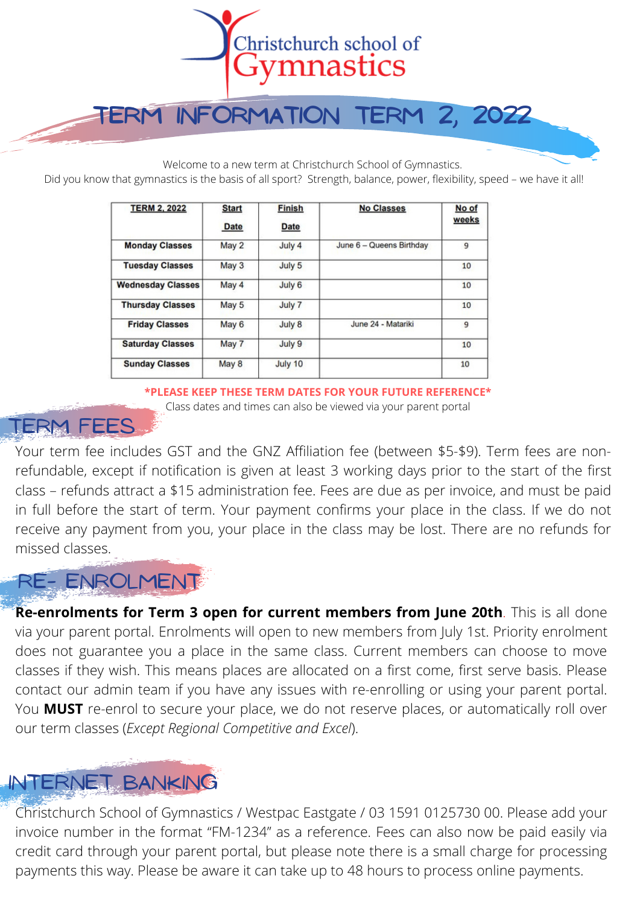

**Term Information Term 2, 2022**

Welcome to a new term at Christchurch School of Gymnastics.

Did you know that gymnastics is the basis of all sport? Strength, balance, power, flexibility, speed – we have it all!

| <b>TERM 2, 2022</b>      | <b>Start</b><br><b>Date</b> | <b>Finish</b><br><b>Date</b> | <b>No Classes</b>        | No of<br>weeks |
|--------------------------|-----------------------------|------------------------------|--------------------------|----------------|
| <b>Monday Classes</b>    | May 2                       | July 4                       | June 6 - Queens Birthday | 9              |
| <b>Tuesday Classes</b>   | May 3                       | July 5                       |                          | 10             |
| <b>Wednesday Classes</b> | May 4                       | July 6                       |                          | 10             |
| <b>Thursday Classes</b>  | May 5                       | July 7                       |                          | 10             |
| <b>Friday Classes</b>    | May 6                       | July 8                       | June 24 - Matariki       | 9              |
| <b>Saturday Classes</b>  | May 7                       | July 9                       |                          | 10             |
| <b>Sunday Classes</b>    | May 8                       | July 10                      |                          | 10             |

**\*PLEASE KEEP THESE TERM DATES FOR YOUR FUTURE REFERENCE\*** Class dates and times can also be viewed via your parent portal

#### Term fees

Your term fee includes GST and the GNZ Affiliation fee (between \$5-\$9). Term fees are nonrefundable, except if notification is given at least 3 working days prior to the start of the first class – refunds attract a \$15 administration fee. Fees are due as per invoice, and must be paid in full before the start of term. Your payment confirms your place in the class. If we do not receive any payment from you, your place in the class may be lost. There are no refunds for missed classes.

### Re- enrolment

**Re-enrolments for Term 3 open for current members from June 20th**. This is all done via your parent [portal.](https://gnz.friendlymanager.com/login?club=chchgymnastics) Enrolments will open to new members from July 1st. Priority enrolment does not guarantee you a place in the same class. Current members can choose to move classes if they wish. This means places are allocated on a first come, first serve basis. Please contact our admin team if you have any issues with re-enrolling or using your parent portal. You **MUST** re-enrol to secure your place, we do not reserve places, or automatically roll over our term classes (*Except Regional Competitive and Excel*).

## Internet banking

Christchurch School of Gymnastics / Westpac Eastgate / 03 1591 0125730 00. Please add your invoice number in the format "FM-1234" as a reference. Fees can also now be paid easily via credit card through your parent portal, but please note there is a small charge for processing payments this way. Please be aware it can take up to 48 hours to process online payments.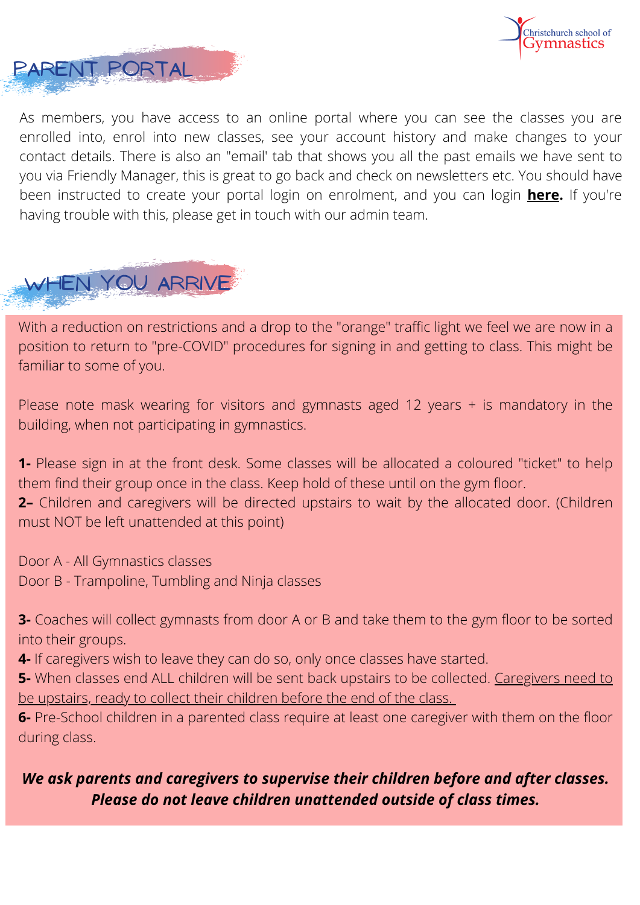



As members, you have access to an online portal where you can see the classes you are enrolled into, enrol into new classes, see your account history and make changes to your contact details. There is also an "email' tab that shows you all the past emails we have sent to you via Friendly Manager, this is great to go back and check on newsletters etc. You should have been instructed to create your portal login on enrolment, and you can login **[here](https://gnz.friendlymanager.com/login?club=chchgymnastics).** If you're having trouble with this, please get in touch with our admin team.

# WHEN YOU ARRIVE

With a reduction on restrictions and a drop to the "orange" traffic light we feel we are now in a position to return to "pre-COVID" procedures for signing in and getting to class. This might be familiar to some of you.

Please note mask wearing for visitors and gymnasts aged 12 years  $+$  is mandatory in the building, when not participating in gymnastics.

**1-** Please sign in at the front desk. Some classes will be allocated a coloured "ticket" to help them find their group once in the class. Keep hold of these until on the gym floor.

**2–** Children and caregivers will be directed upstairs to wait by the allocated door. (Children must NOT be left unattended at this point)

Door A - All Gymnastics classes Door B - Trampoline, Tumbling and Ninja classes

**3-** Coaches will collect gymnasts from door A or B and take them to the gym floor to be sorted into their groups.

**4-** If caregivers wish to leave they can do so, only once classes have started.

**5-** When classes end ALL children will be sent back upstairs to be collected. Caregivers need to be upstairs, ready to collect their children before the end of the class.

**6-** Pre-School children in a parented class require at least one caregiver with them on the floor during class.

#### *We ask parents and caregivers to supervise their children before and after classes. Please do not leave children unattended outside of class times.*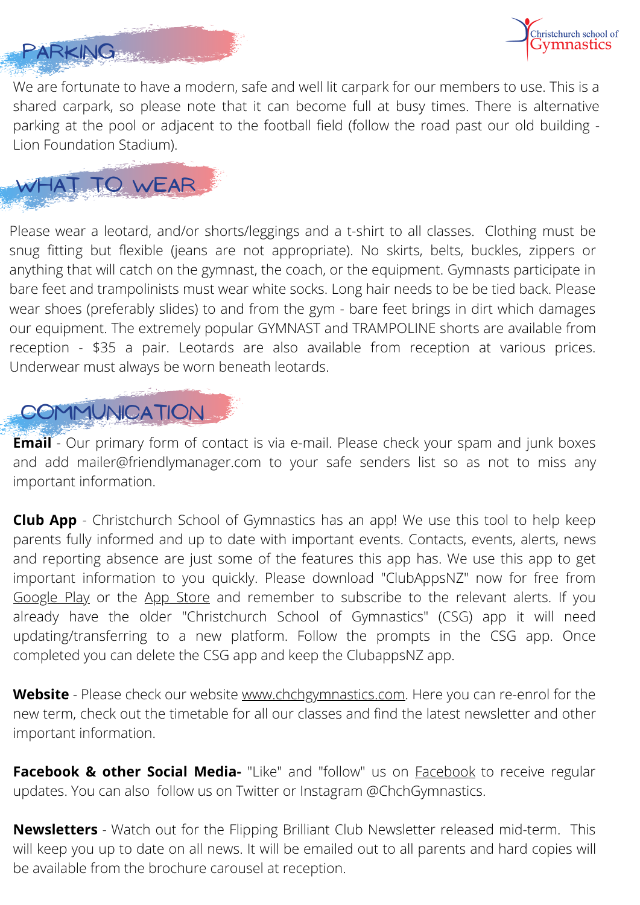



We are fortunate to have a modern, safe and well lit carpark for our members to use. This is a shared carpark, so please note that it can become full at busy times. There is alternative parking at the pool or adjacent to the football field (follow the road past our old building - Lion Foundation Stadium).



Please wear a leotard, and/or shorts/leggings and a t-shirt to all classes. Clothing must be snug fitting but flexible (jeans are not appropriate). No skirts, belts, buckles, zippers or anything that will catch on the gymnast, the coach, or the equipment. Gymnasts participate in bare feet and trampolinists must wear white socks. Long hair needs to be be tied back. Please wear shoes (preferably slides) to and from the gym - bare feet brings in dirt which damages our equipment. The extremely popular GYMNAST and TRAMPOLINE shorts are available from reception - \$35 a pair. Leotards are also available from reception at various prices. Underwear must always be worn beneath leotards.



**Email** - Our primary form of contact is via e-mail. Please check your spam and junk boxes and add mailer@friendlymanager.com to your safe senders list so as not to miss any important information.

**Club App** - Christchurch School of Gymnastics has an app! We use this tool to help keep parents fully informed and up to date with important events. Contacts, events, alerts, news and reporting absence are just some of the features this app has. We use this app to get important information to you quickly. Please download "ClubAppsNZ" now for free from [Google](https://play.google.com/store/apps/details?id=nz.co.clubapps.chcgymnastics) Play or the App [Store](https://apps.apple.com/nz/app/christchurch-school-gymnastics/id1249615420) and remember to subscribe to the relevant alerts. If you already have the older "Christchurch School of Gymnastics" (CSG) app it will need updating/transferring to a new platform. Follow the prompts in the CSG app. Once completed you can delete the CSG app and keep the ClubappsNZ app.

**Website** - Please check our website [www.chchgymnastics.com](http://www.chchgymnastics.com/). Here you can re-enrol for the new term, check out the timetable for all our classes and find the latest newsletter and other important information.

**Facebook & other Social Media-** "Like" and "follow" us on [Facebook](https://www.facebook.com/pages/Christchurch-School-of-Gymnastics/163321601373) to receive regular updates. You can also follow us on Twitter or Instagram @ChchGymnastics.

**Newsletters** - Watch out for the Flipping Brilliant Club Newsletter released mid-term. This will keep you up to date on all news. It will be emailed out to all parents and hard copies will be available from the brochure carousel at reception.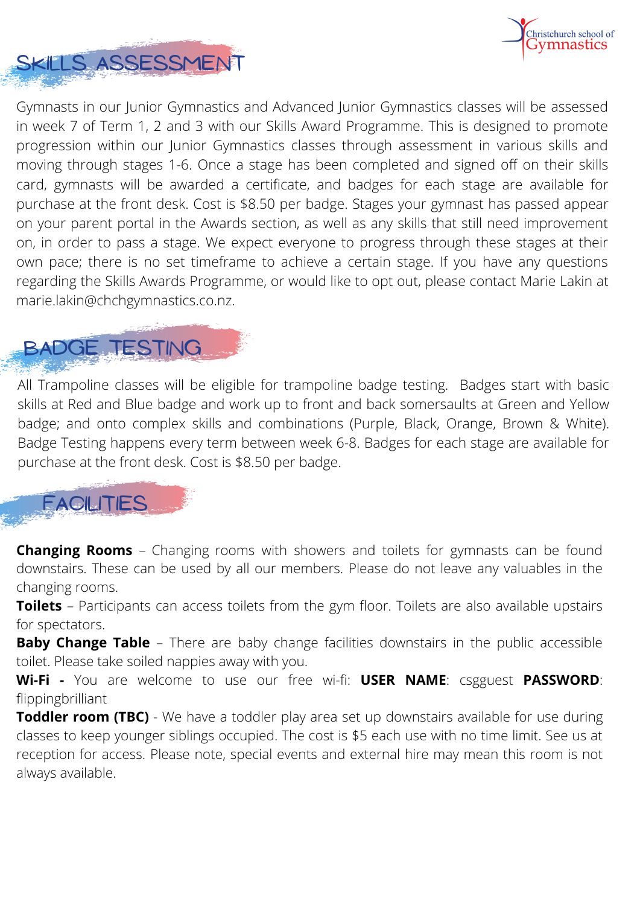

Gymnasts in our Junior Gymnastics and Advanced Junior Gymnastics classes will be assessed in week 7 of Term 1, 2 and 3 with our Skills Award Programme. This is designed to promote progression within our Junior Gymnastics classes through assessment in various skills and moving through stages 1-6. Once a stage has been completed and signed off on their skills card, gymnasts will be awarded a certificate, and badges for each stage are available for purchase at the front desk. Cost is \$8.50 per badge. Stages your gymnast has passed appear on your parent portal in the Awards section, as well as any skills that still need improvement on, in order to pass a stage. We expect everyone to progress through these stages at their own pace; there is no set timeframe to achieve a certain stage. If you have any questions regarding the Skills Awards Programme, or would like to opt out, please contact Marie Lakin at marie.lakin@chchgymnastics.co.nz.

## badge testing

Skills assessment

purchase at the front desk. Cost is \$8.50 per badge. All Trampoline classes will be eligible for trampoline badge testing. Badges start with basic skills at Red and Blue badge and work up to front and back somersaults at Green and Yellow badge; and onto complex skills and combinations (Purple, Black, Orange, Brown & White). Badge Testing happens every term between week 6-8. Badges for each stage are available for

## **FACILITIES**

**Changing Rooms** – Changing rooms with showers and toilets for gymnasts can be found downstairs. These can be used by all our members. Please do not leave any valuables in the changing rooms.

**Toilets** – Participants can access toilets from the gym floor. Toilets are also available upstairs for spectators.

**Baby Change Table** – There are baby change facilities downstairs in the public accessible toilet. Please take soiled nappies away with you.

**Wi-Fi -** You are welcome to use our free wi-fi: **USER NAME**: csgguest **PASSWORD**: flippingbrilliant

**Toddler room (TBC)** - We have a toddler play area set up downstairs available for use during classes to keep younger siblings occupied. The cost is \$5 each use with no time limit. See us at reception for access. Please note, special events and external hire may mean this room is not always available.